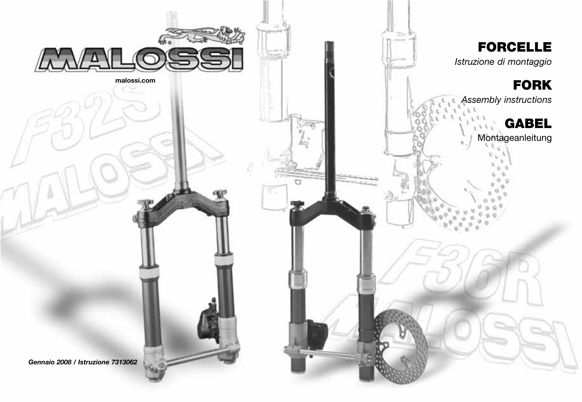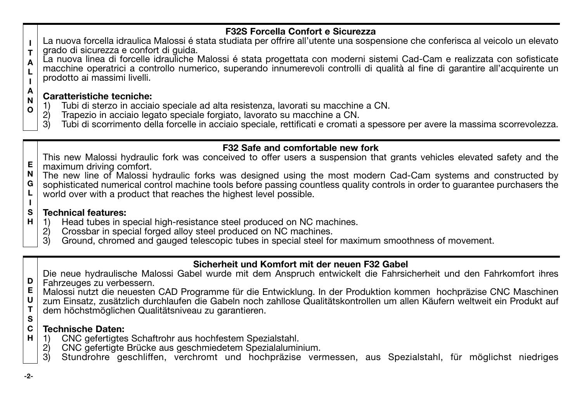# **F32S Forcella Confort e Sicurezza**

- **I T** La nuova forcella idraulica Malossi é stata studiata per offrire all'utente una sospensione che conferisca al veicolo un elevato grado di sicurezza e confort di guida.
- **A L I** La nuova linea di forcelle idrauliche Malossi é stata progettata con moderni sistemi Cad-Cam e realizzata con sofisticate macchine operatrici a controllo numerico, superando innumerevoli controlli di qualità al fine di garantire all'acquirente un prodotto ai massimi livelli.

#### **A N Caratteristiche tecniche:**

- **O** 1) Tubi di sterzo in acciaio speciale ad alta resistenza, lavorati su macchine a CN.
	- 2) Trapezio in acciaio legato speciale forgiato, lavorato su macchine a CN.<br>3) Tubi di scorrimento della forcelle in acciaio speciale rettificati e cromati
	- 3) Tubi di scorrimento della forcelle in acciaio speciale, rettificati e cromati a spessore per avere la massima scorrevolezza.

## **F32 Safe and comfortable new fork**

- **E** This new Malossi hydraulic fork was conceived to offer users a suspension that grants vehicles elevated safety and the maximum driving comfort.
- **N** The new line of Malossi hydraulic forks was designed using the most modern Cad-Cam systems and constructed by
- **G L** sophisticated numerical control machine tools before passing countless quality controls in order to guarantee purchasers the world over with a product that reaches the highest level possible.

#### **S Technical features:**

- **H** 1) Head tubes in special high-resistance steel produced on NC machines.<br>2) Crossbar in special forged alloy steel produced on NC machines.
	- 2) Crossbar in special forged alloy steel produced on NC machines.
	- 3) Ground, chromed and gauged telescopic tubes in special steel for maximum smoothness of movement.

# **Sicherheit und Komfort mit der neuen F32 Gabel**

Die neue hydraulische Malossi Gabel wurde mit dem Anspruch entwickelt die Fahrsicherheit und den Fahrkomfort ihres Fahrzeuges zu verbessern.

- **E** Malossi nutzt die neuesten CAD Programme für die Entwicklung. In der Produktion kommen hochpräzise CNC Maschinen
- **U T** zum Einsatz, zusätzlich durchlaufen die Gabeln noch zahllose Qualitätskontrollen um allen Käufern weltweit ein Produkt auf
- **S** dem höchstmöglichen Qualitätsniveau zu garantieren.

#### **C H Technische Daten:**

- 1) CNC gefertigtes Schaftrohr aus hochfestem Spezialstahl.<br>2) CNC gefertigte Brücke aus geschmiedetem Spezialalumir
- 2) CNC gefertigte Brücke aus geschmiedetem Spezialaluminium.<br>3) Stundrohre, geschliffen, verchromt und hochpräzise ver
- 3) Stundrohre geschliffen, verchromt und hochpräzise vermessen, aus Spezialstahl, für möglichst niedriges

**I**

**D**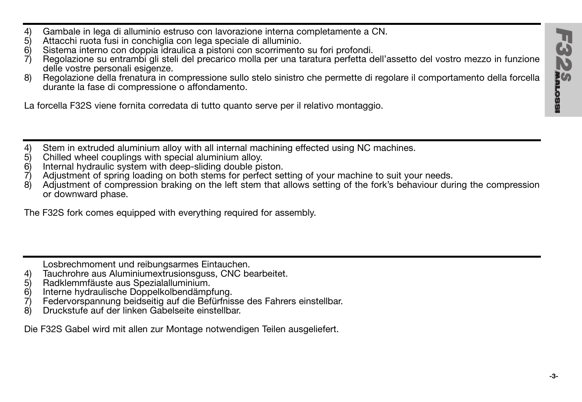- 4) Gambale in lega di alluminio estruso con lavorazione interna completamente a CN.
- 5) Attacchi ruota fusi in conchiglia con lega speciale di alluminio.<br>6) Sistema interno con doppia idraulica a pistoni con scorrimento
- 6) Sistema interno con doppia idraulica a pistoni con scorrimento su fori profondi.
- Regolazione su entrambi gli steli del precarico molla per una taratura perfetta dell'assetto del vostro mezzo in funzione delle vostre personali esigenze.
- 8) Regolazione della frenatura in compressione sullo stelo sinistro che permette di regolare il comportamento della forcella durante la fase di compressione o affondamento.

La forcella F32S viene fornita corredata di tutto quanto serve per il relativo montaggio.

- 4) Stem in extruded aluminium alloy with all internal machining effected using NC machines.<br>5) Chilled wheel couplings with special aluminium alloy.
- 5) Chilled wheel couplings with special aluminium alloy.
- 6) Internal hydraulic system with deep-sliding double piston.<br>
7) Adjustment of spring loading on both stems for perfect set
- 7) Adjustment of spring loading on both stems for perfect setting of your machine to suit your needs.
- 8) Adjustment of compression braking on the left stem that allows setting of the fork's behaviour during the compression or downward phase.

The F32S fork comes equipped with everything required for assembly.

Losbrechmoment und reibungsarmes Eintauchen.

- 4) Tauchrohre aus Aluminiumextrusionsguss, CNC bearbeitet.<br>5) Radklemmfäuste aus Spezialalluminium.
- 5) Radklemmfäuste aus Spezialalluminium.
- 6) Interne hydraulische Doppelkolbendämpfung.
- 7) Federvorspannung beidseitig auf die Befürfnisse des Fahrers einstellbar.
- 8) Druckstufe auf der linken Gabelseite einstellbar.

Die F32S Gabel wird mit allen zur Montage notwendigen Teilen ausgeliefert.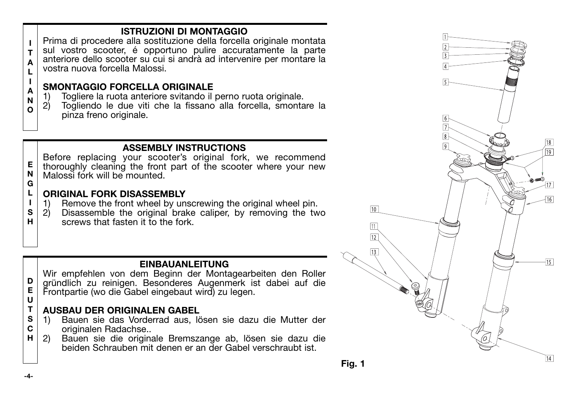# **ISTRUZIONI DI MONTAGGIO**

**A L** Prima di procedere alla sostituzione della forcella originale montata sul vostro scooter, é opportuno pulire accuratamente la parte anteriore dello scooter su cui si andrà ad intervenire per montare la vostra nuova forcella Malossi.

# **SMONTAGGIO FORCELLA ORIGINALE**

- 1) Togliere la ruota anteriore svitando il perno ruota originale.<br>2) Togliendo le due viti che la fissano alla forcella, smonta
- Togliendo le due viti che la fissano alla forcella, smontare la pinza freno originale.

# **ASSEMBLY INSTRUCTIONS**

**E N G** Before replacing your scooter's original fork, we recommend thoroughly cleaning the front part of the scooter where your new Malossi fork will be mounted.

#### **L I ORIGINAL FORK DISASSEMBLY**

- 1) Remove the front wheel by unscrewing the original wheel pin.<br>2) Disassemble the original brake caliper. by removing the tw
- **S H** Disassemble the original brake caliper, by removing the two screws that fasten it to the fork.

# **EINBAUANLEITUNG**

**D E U** Wir empfehlen von dem Beginn der Montagearbeiten den Roller gründlich zu reinigen. Besonderes Augenmerk ist dabei auf die Frontpartie (wo die Gabel eingebaut wird) zu legen.

### **T AUSBAU DER ORIGINALEN GABEL**

- **S C** 1) Bauen sie das Vorderrad aus, lösen sie dazu die Mutter der originalen Radachse..
- **H** 2) Bauen sie die originale Bremszange ab, lösen sie dazu die beiden Schrauben mit denen er an der Gabel verschraubt ist.



**I T**

**I A N O**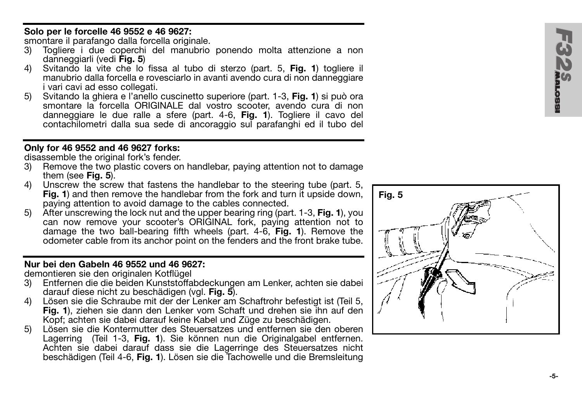## **Solo per le forcelle 46 9552 e 46 9627:**

smontare il parafango dalla forcella originale.<br>3) Togliere i due coperchi del manubrio

- 3) Togliere i due coperchi del manubrio ponendo molta attenzione a non danneggiarli (vedi **Fig. 5**)
- 4) Svitando la vite che lo fissa al tubo di sterzo (part. 5, **Fig. 1**) togliere il manubrio dalla forcella e rovesciarlo in avanti avendo cura di non danneggiare i vari cavi ad esso collegati.
- 5) Svitando la ghiera e l'anello cuscinetto superiore (part. 1-3, **Fig. 1**) si può ora smontare la forcella ORIGINALE dal vostro scooter, avendo cura di non danneggiare le due ralle a sfere (part. 4-6, **Fig. 1**). Togliere il cavo del contachilometri dalla sua sede di ancoraggio sul parafanghi ed il tubo del

# **Only for 46 9552 and 46 9627 forks:**

disassemble the original fork's fender.

- 3) Remove the two plastic covers on handlebar, paying attention not to damage them (see **Fig. 5**).
- 4) Unscrew the screw that fastens the handlebar to the steering tube (part. 5, **Fig. 1**) and then remove the handlebar from the fork and turn it upside down. paying attention to avoid damage to the cables connected.
- 5) After unscrewing the lock nut and the upper bearing ring (part. 1-3, **Fig. 1**), you can now remove your scooter's ORIGINAL fork, paying attention not to damage the two ball-bearing fifth wheels (part. 4-6, **Fig. 1**). Remove the odometer cable from its anchor point on the fenders and the front brake tube.

# **Nur bei den Gabeln 46 9552 und 46 9627:**

demontieren sie den originalen Kotflügel

- 3) Entfernen die die beiden Kunststoffabdeckungen am Lenker, achten sie dabei darauf diese nicht zu beschädigen (vgl. **Fig. 5**).
- 4) Lösen sie die Schraube mit der der Lenker am Schaftrohr befestigt ist (Teil 5, **Fig. 1**), ziehen sie dann den Lenker vom Schaft und drehen sie ihn auf den Kopf; achten sie dabei darauf keine Kabel und Züge zu beschädigen.
- 5) Lösen sie die Kontermutter des Steuersatzes und entfernen sie den oberen Lagerring (Teil 1-3, **Fig. 1**). Sie können nun die Originalgabel entfernen. Achten sie dabei darauf dass sie die Lagerringe des Steuersatzes nicht beschädigen (Teil 4-6, **Fig. 1**). Lösen sie die Tachowelle und die Bremsleitung



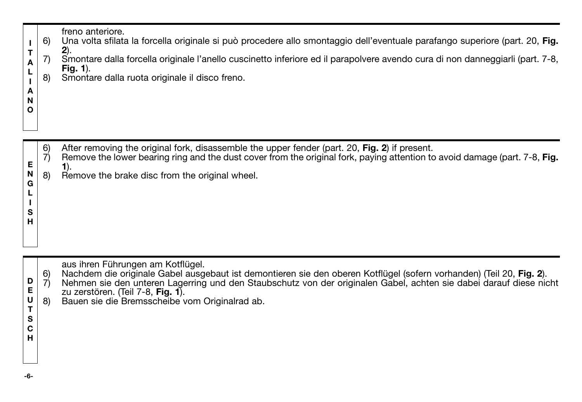| п<br>т<br>А<br>L<br>А<br>N<br>Ο | 6)<br>7)<br>8) | freno anteriore.<br>Una volta sfilata la forcella originale si può procedere allo smontaggio dell'eventuale parafango superiore (part. 20, Fig.<br>$2)$ .<br>Smontare dalla forcella originale l'anello cuscinetto inferiore ed il parapolvere avendo cura di non danneggiarli (part. 7-8,<br>Fig. $1$ ).<br>Smontare dalla ruota originale il disco freno.            |
|---------------------------------|----------------|------------------------------------------------------------------------------------------------------------------------------------------------------------------------------------------------------------------------------------------------------------------------------------------------------------------------------------------------------------------------|
| Е<br>N<br>G<br>L<br>s<br>н      | 6)<br>7)<br>8) | After removing the original fork, disassemble the upper fender (part. 20, Fig. 2) if present.<br>Remove the lower bearing ring and the dust cover from the original fork, paying attention to avoid damage (part. 7-8, Fig.<br>1).<br>Remove the brake disc from the original wheel.                                                                                   |
| D<br>Е<br>U<br>т<br>s<br>С<br>н | 6)<br>7)<br>8) | aus ihren Führungen am Kotflügel.<br>Nachdem die originale Gabel ausgebaut ist demontieren sie den oberen Kotflügel (sofern vorhanden) (Teil 20, Fig. 2).<br>Nehmen sie den unteren Lagerring und den Staubschutz von der originalen Gabel, achten sie dabei darauf diese nicht<br>zu zerstören. (Teil 7-8, Fig. 1).<br>Bauen sie die Bremsscheibe vom Originalrad ab. |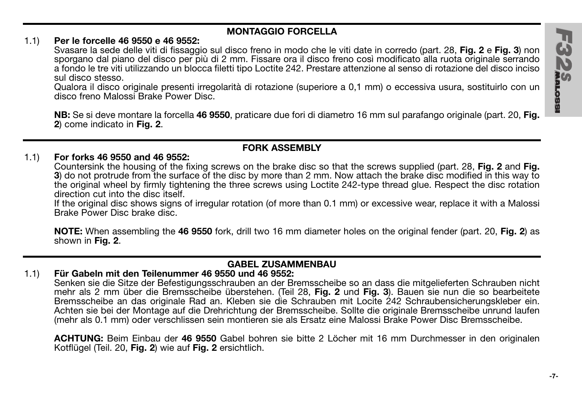## **MONTAGGIO FORCELLA**

## 1.1) **Per le forcelle 46 9550 e 46 9552:**

Svasare la sede delle viti di fissaggio sul disco freno in modo che le viti date in corredo (part. 28, **Fig. 2** e **Fig. 3**) non sporgano dal piano del disco per più di 2 mm. Fissare ora il disco freno così modificato alla ruota originale serrando a fondo le tre viti utilizzando un blocca filetti tipo Loctite 242. Prestare attenzione al senso di rotazione del disco inciso sul disco stesso.

Qualora il disco originale presenti irregolarità di rotazione (superiore a 0,1 mm) o eccessiva usura, sostituirlo con un disco freno Malossi Brake Power Disc.

**NB:** Se si deve montare la forcella **46 9550**, praticare due fori di diametro 16 mm sul parafango originale (part. 20, **Fig. 2**) come indicato in **Fig. 2**.

## **FORK ASSEMBLY**

## 1.1) **For forks 46 9550 and 46 9552:**

Countersink the housing of the fixing screws on the brake disc so that the screws supplied (part. 28, **Fig. 2** and **Fig. 3**) do not protrude from the surface of the disc by more than 2 mm. Now attach the brake disc modified in this way to the original wheel by firmly tightening the three screws using Loctite 242-type thread glue. Respect the disc rotation direction cut into the disc itself.

If the original disc shows signs of irregular rotation (of more than 0.1 mm) or excessive wear, replace it with a Malossi Brake Power Disc brake disc.

**NOTE:** When assembling the **46 9550** fork, drill two 16 mm diameter holes on the original fender (part. 20, **Fig. 2**) as shown in **Fig. 2**.

## **GABEL ZUSAMMENBAU**

## 1.1) **Für Gabeln mit den Teilenummer 46 9550 und 46 9552:**

Senken sie die Sitze der Befestigungsschrauben an der Bremsscheibe so an dass die mitgelieferten Schrauben nicht mehr als 2 mm über die Bremsscheibe überstehen. (Teil 28, **Fig. 2** und **Fig. 3**). Bauen sie nun die so bearbeitete Bremsscheibe an das originale Rad an. Kleben sie die Schrauben mit Locite 242 Schraubensicherungskleber ein. Achten sie bei der Montage auf die Drehrichtung der Bremsscheibe. Sollte die originale Bremsscheibe unrund laufen (mehr als 0.1 mm) oder verschlissen sein montieren sie als Ersatz eine Malossi Brake Power Disc Bremsscheibe.

**ACHTUNG:** Beim Einbau der **46 9550** Gabel bohren sie bitte 2 Löcher mit 16 mm Durchmesser in den originalen Kotflügel (Teil. 20, **Fig. 2**) wie auf **Fig. 2** ersichtlich.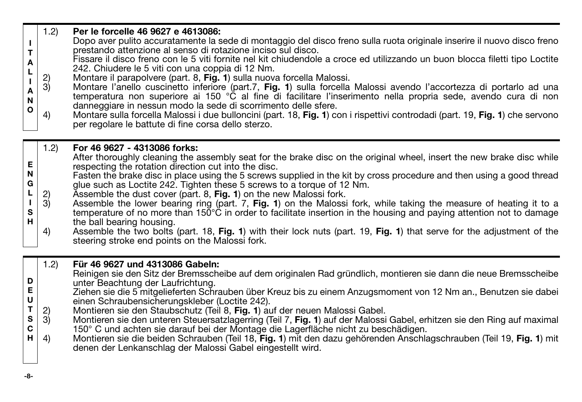# 1.2) **Per le forcelle 46 9627 e 4613086:**

- **I T** Dopo aver pulito accuratamente la sede di montaggio del disco freno sulla ruota originale inserire il nuovo disco freno prestando attenzione al senso di rotazione inciso sul disco.
- **A L** Fissare il disco freno con le 5 viti fornite nel kit chiudendole a croce ed utilizzando un buon blocca filetti tipo Loctite 242. Chiudere le 5 viti con una coppia di 12 Nm.
- **I** 2) Montare il parapolvere (part. 8, **Fig. 1**) sulla nuova forcella Malossi.
- **A N O** 3) Montare l'anello cuscinetto inferiore (part.7, **Fig. 1**) sulla forcella Malossi avendo l'accortezza di portarlo ad una temperatura non superiore ai 150 °C al fine di facilitare l'inserimento nella propria sede, avendo cura di non danneggiare in nessun modo la sede di scorrimento delle sfere.
- 4) Montare sulla forcella Malossi i due bulloncini (part. 18, **Fig. 1**) con i rispettivi controdadi (part. 19, **Fig. 1**) che servono per regolare le battute di fine corsa dello sterzo.

#### **E N G L I S H** 1.2) **For 46 9627 - 4313086 forks:** After thoroughly cleaning the assembly seat for the brake disc on the original wheel, insert the new brake disc while respecting the rotation direction cut into the disc. Fasten the brake disc in place using the 5 screws supplied in the kit by cross procedure and then using a good thread glue such as Loctite 242. Tighten these 5 screws to a torque of 12 Nm. 2) Assemble the dust cover (part. 8, **Fig. 1**) on the new Malossi fork.<br>3) Assemble the lower bearing ring (part. 7. **Fig. 1**) on the Malossi Assemble the lower bearing ring (part. 7, **Fig. 1**) on the Malossi fork, while taking the measure of heating it to a temperature of no more than 150°C in order to facilitate insertion in the housing and paying attention not to damage the ball bearing housing. 4) Assemble the two bolts (part. 18, **Fig. 1**) with their lock nuts (part. 19, **Fig. 1**) that serve for the adjustment of the steering stroke end points on the Malossi fork.

# 1.2) **Für 46 9627 und 4313086 Gabeln:**

- **D** Reinigen sie den Sitz der Bremsscheibe auf dem originalen Rad gründlich, montieren sie dann die neue Bremsscheibe unter Beachtung der Laufrichtung.
- **E U** Ziehen sie die 5 mitgelieferten Schrauben über Kreuz bis zu einem Anzugsmoment von 12 Nm an., Benutzen sie dabei einen Schraubensicherungskleber (Loctite 242).
- **T** 2) Montieren sie den Staubschutz (Teil 8, **Fig. 1**) auf der neuen Malossi Gabel.
- **S C** 3) Montieren sie den unteren Steuersatzlagerring (Teil 7, **Fig. 1**) auf der Malossi Gabel, erhitzen sie den Ring auf maximal 150° C und achten sie darauf bei der Montage die Lagerfläche nicht zu beschädigen.
- **H** 4) Montieren sie die beiden Schrauben (Teil 18, **Fig. 1**) mit den dazu gehörenden Anschlagschrauben (Teil 19, **Fig. 1**) mit denen der Lenkanschlag der Malossi Gabel eingestellt wird.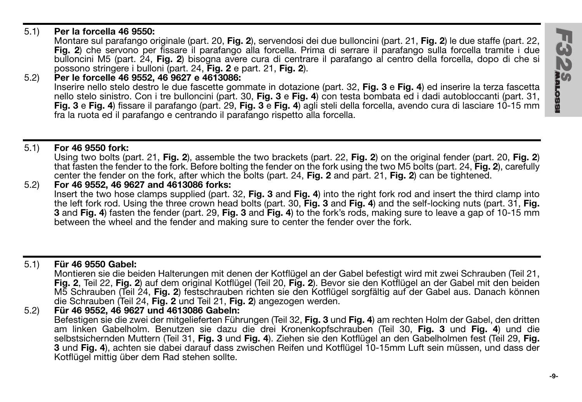## 5.1) **Per la forcella 46 9550:**

Montare sul parafango originale (part. 20, **Fig. 2**), servendosi dei due bulloncini (part. 21, **Fig. 2**) le due staffe (part. 22, **Fig. 2**) che servono per fissare il parafango alla forcella. Prima di serrare il parafango sulla forcella tramite i due bulloncini M5 (part. 24, **Fig. 2**) bisogna avere cura di centrare il parafango al centro della forcella, dopo di che si possono stringere i bulloni (part. 24, **Fig. 2** e part. 21, **Fig. 2**).

### 5.2) **Per le forcelle 46 9552, 46 9627 e 4613086:** Inserire nello stelo destro le due fascette gommate in dotazione (part. 32, **Fig. 3** e **Fig. 4**) ed inserire la terza fascetta nello stelo sinistro. Con i tre bulloncini (part. 30, **Fig. 3** e **Fig. 4**) con testa bombata ed i dadi autobloccanti (part. 31, **Fig. 3** e **Fig. 4**) fissare il parafango (part. 29, **Fig. 3** e **Fig. 4**) agli steli della forcella, avendo cura di lasciare 10-15 mm fra la ruota ed il parafango e centrando il parafango rispetto alla forcella.

## 5.1) **For 46 9550 fork:**

Using two bolts (part. 21, **Fig. 2**), assemble the two brackets (part. 22, **Fig. 2**) on the original fender (part. 20, **Fig. 2**) that fasten the fender to the fork. Before bolting the fender on the fork using the two M5 bolts (part. 24, **Fig. 2**), carefully center the fender on the fork, after which the bolts (part. 24, **Fig. 2** and part. 21, **Fig. 2**) can be tightened.

5.2) **For 46 9552, 46 9627 and 4613086 forks:** Insert the two hose clamps supplied (part. 32, **Fig. 3** and **Fig. 4**) into the right fork rod and insert the third clamp into the left fork rod. Using the three crown head bolts (part. 30, **Fig. 3** and **Fig. 4**) and the self-locking nuts (part. 31, **Fig. 3** and **Fig. 4**) fasten the fender (part. 29, **Fig. 3** and **Fig. 4**) to the fork's rods, making sure to leave a gap of 10-15 mm between the wheel and the fender and making sure to center the fender over the fork.

# 5.1) **Für 46 9550 Gabel:**

Montieren sie die beiden Halterungen mit denen der Kotflügel an der Gabel befestigt wird mit zwei Schrauben (Teil 21, **Fig. 2**, Teil 22, **Fig. 2**) auf dem original Kotflügel (Teil 20, **Fig. 2**). Bevor sie den Kotflügel an der Gabel mit den beiden M5 Schrauben (Teil 24, **Fig. 2**) festschrauben richten sie den Kotflügel sorgfältig auf der Gabel aus. Danach können die Schrauben (Teil 24, **Fig. 2** und Teil 21, **Fig. 2**) angezogen werden.

5.2) **Für 46 9552, 46 9627 und 4613086 Gabeln:**

Befestigen sie die zwei der mitgelieferten Führungen (Teil 32, **Fig. 3** und **Fig. 4**) am rechten Holm der Gabel, den dritten am linken Gabelholm. Benutzen sie dazu die drei Kronenkopfschrauben (Teil 30, **Fig. 3** und **Fig. 4**) und die selbstsichernden Muttern (Teil 31, **Fig. 3** und **Fig. 4**). Ziehen sie den Kotflügel an den Gabelholmen fest (Teil 29, **Fig. 3** und **Fig. 4**), achten sie dabei darauf dass zwischen Reifen und Kotflügel 10-15mm Luft sein müssen, und dass der Kotflügel mittig über dem Rad stehen sollte.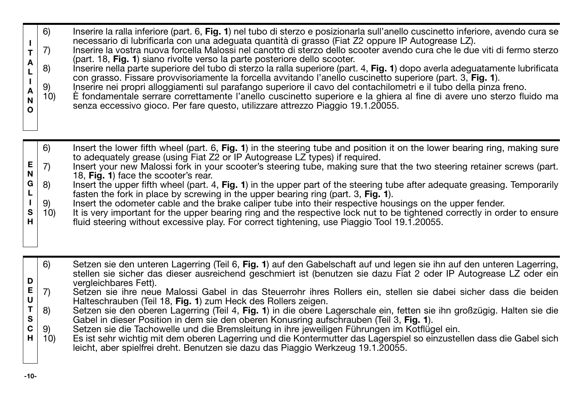- **I** 6) Inserire la ralla inferiore (part. 6, **Fig. 1**) nel tubo di sterzo e posizionarla sull'anello cuscinetto inferiore, avendo cura se necessario di lubrificarla con una adeguata quantità di grasso (Fiat Z2 oppure IP Autogrease LZ).
- **T A** 7) Inserire la vostra nuova forcella Malossi nel canotto di sterzo dello scooter avendo cura che le due viti di fermo sterzo (part. 18, **Fig. 1**) siano rivolte verso la parte posteriore dello scooter.
- **L I** 8) Inserire nella parte superiore del tubo di sterzo la ralla superiore (part. 4, **Fig. 1**) dopo averla adeguatamente lubrificata con grasso. Fissare provvisoriamente la forcella avvitando l'anello cuscinetto superiore (part. 3, **Fig. 1**).
	- 9) Inserire nei propri alloggiamenti sul parafango superiore il cavo del contachilometri e il tubo della pinza freno.<br>10) È fondamentale serrare correttamente l'anello cuscinetto superiore e la ghiera al fine di avere uno
- **A N O** 10) È fondamentale serrare correttamente l'anello cuscinetto superiore e la ghiera al fine di avere uno sterzo fluido ma senza eccessivo gioco. Per fare questo, utilizzare attrezzo Piaggio 19.1.20055.
- 6) Insert the lower fifth wheel (part. 6, **Fig. 1**) in the steering tube and position it on the lower bearing ring, making sure to adequately grease (using Fiat Z2 or IP Autogrease LZ types) if required.
- **E N** 7) Insert your new Malossi fork in your scooter's steering tube, making sure that the two steering retainer screws (part. 18, **Fig. 1**) face the scooter's rear.
- **G L** 8) Insert the upper fifth wheel (part. 4, **Fig. 1**) in the upper part of the steering tube after adequate greasing. Temporarily fasten the fork in place by screwing in the upper bearing ring (part. 3, **Fig. 1**).
- **I** 9) Insert the odometer cable and the brake caliper tube into their respective housings on the upper fender.<br>10) It is very important for the upper bearing ring and the respective lock nut to be tightened correctly in or
- **S H** It is very important for the upper bearing ring and the respective lock nut to be tightened correctly in order to ensure fluid steering without excessive play. For correct tightening, use Piaggio Tool 19.1.20055.
- **D** 6) Setzen sie den unteren Lagerring (Teil 6, **Fig. 1**) auf den Gabelschaft auf und legen sie ihn auf den unteren Lagerring, stellen sie sicher das dieser ausreichend geschmiert ist (benutzen sie dazu Fiat 2 oder IP Autogrease LZ oder ein vergleichbares Fett).
- **E U** 7) Setzen sie ihre neue Malossi Gabel in das Steuerrohr ihres Rollers ein, stellen sie dabei sicher dass die beiden Halteschrauben (Teil 18, **Fig. 1**) zum Heck des Rollers zeigen.
- **T S** 8) Setzen sie den oberen Lagerring (Teil 4, **Fig. 1**) in die obere Lagerschale ein, fetten sie ihn großzügig. Halten sie die Gabel in dieser Position in dem sie den oberen Konusring aufschrauben (Teil 3, **Fig. 1**).
- **C** 9) Setzen sie die Tachowelle und die Bremsleitung in ihre jeweiligen Führungen im Kotflügel ein.<br>10) Es ist sehr wichtig mit dem oberen Lagerring und die Kontermutter das Lagerspiel so einzustel
- **H** 10) Es ist sehr wichtig mit dem oberen Lagerring und die Kontermutter das Lagerspiel so einzustellen dass die Gabel sich leicht, aber spielfrei dreht. Benutzen sie dazu das Piaggio Werkzeug 19.1.20055.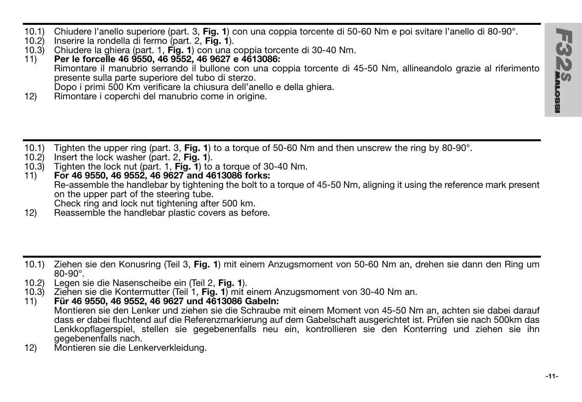10.1) Chiudere l'anello superiore (part. 3, **Fig. 1**) con una coppia torcente di 50-60 Nm e poi svitare l'anello di 80-90°.

- 10.2) Inserire la rondella di fermo (part. 2, **Fig. 1**).
- 10.3) Chiudere la ghiera (part. 1, **Fig. 1**) con una coppia torcente di 30-40 Nm.
- 11) **Per le forcelle 46 9550, 46 9552, 46 9627 e 4613086:** Rimontare il manubrio serrando il bullone con una coppia torcente di 45-50 Nm, allineandolo grazie al riferimento presente sulla parte superiore del tubo di sterzo. Dopo i primi 500 Km verificare la chiusura dell'anello e della ghiera.
- 12) Rimontare i coperchi del manubrio come in origine.
- 10.1) Tighten the upper ring (part. 3, **Fig. 1**) to a torque of 50-60 Nm and then unscrew the ring by 80-90°.
- 10.2) Insert the lock washer (part. 2, **Fig. 1**).
- 10.3) Tighten the lock nut (part. 1, **Fig. 1**) to a torque of 30-40 Nm.
- 11) **For 46 9550, 46 9552, 46 9627 and 4613086 forks:** Re-assemble the handlebar by tightening the bolt to a torque of 45-50 Nm, aligning it using the reference mark present on the upper part of the steering tube. Check ring and lock nut tightening after 500 km.
- 12) Reassemble the handlebar plastic covers as before.
- 10.1) Ziehen sie den Konusring (Teil 3, **Fig. 1**) mit einem Anzugsmoment von 50-60 Nm an, drehen sie dann den Ring um 80-90°.
- 10.2) Legen sie die Nasenscheibe ein (Teil 2, **Fig. 1**).
- 10.3) Ziehen sie die Kontermutter (Teil 1, **Fig. 1**) mit einem Anzugsmoment von 30-40 Nm an.
- 11) **Für 46 9550, 46 9552, 46 9627 und 4613086 Gabeln:** Montieren sie den Lenker und ziehen sie die Schraube mit einem Moment von 45-50 Nm an, achten sie dabei darauf dass er dabei fluchtend auf die Referenzmarkierung auf dem Gabelschaft ausgerichtet ist. Prüfen sie nach 500km das Lenkkopflagerspiel, stellen sie gegebenenfalls neu ein, kontrollieren sie den Konterring und ziehen sie ihn gegebenenfalls nach.
- 12) Montieren sie die Lenkerverkleidung.

1323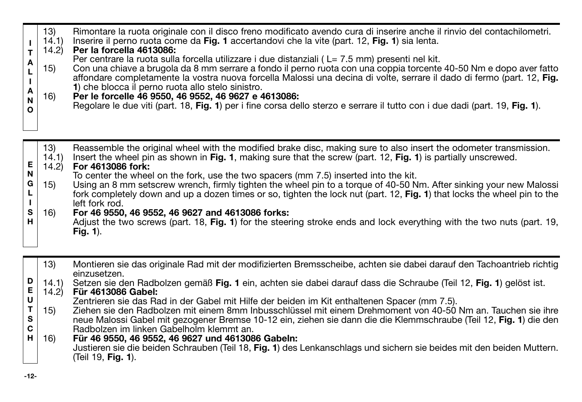| A<br>$\frac{L}{L}$<br>$\overline{A}$<br>N<br>$\circ$ | $\binom{13}{14.1}$<br>14.2<br>15)<br>16) | Rimontare la ruota originale con il disco freno modificato avendo cura di inserire anche il rinvio del contachilometri.<br>Inserire il perno ruota come da Fig. 1 accertandovi che la vite (part. 12, Fig. 1) sia lenta.<br>Per la forcella 4613086:<br>Per centrare la ruota sulla forcella utilizzare i due distanziali (L= 7.5 mm) presenti nel kit.<br>Con una chiave a brugola da 8 mm serrare a fondo il perno ruota con una coppia torcente 40-50 Nm e dopo aver fatto<br>affondare completamente la vostra nuova forcella Malossi una decina di volte, serrare il dado di fermo (part. 12, Fig.<br>1) che blocca il perno ruota allo stelo sinistro.<br>Per le forcelle 46 9550, 46 9552, 46 9627 e 4613086;<br>Regolare le due viti (part. 18, Fig. 1) per i fine corsa dello sterzo e serrare il tutto con i due dadi (part. 19, Fig. 1). |
|------------------------------------------------------|------------------------------------------|-----------------------------------------------------------------------------------------------------------------------------------------------------------------------------------------------------------------------------------------------------------------------------------------------------------------------------------------------------------------------------------------------------------------------------------------------------------------------------------------------------------------------------------------------------------------------------------------------------------------------------------------------------------------------------------------------------------------------------------------------------------------------------------------------------------------------------------------------------|
|------------------------------------------------------|------------------------------------------|-----------------------------------------------------------------------------------------------------------------------------------------------------------------------------------------------------------------------------------------------------------------------------------------------------------------------------------------------------------------------------------------------------------------------------------------------------------------------------------------------------------------------------------------------------------------------------------------------------------------------------------------------------------------------------------------------------------------------------------------------------------------------------------------------------------------------------------------------------|

**E N G L I S H** 13) Reassemble the original wheel with the modified brake disc, making sure to also insert the odometer transmission.<br>14.1) Insert the wheel pin as shown in Fig. 1. making sure that the screw (part. 12. Fig. 1) is partiall 14.1) Insert the wheel pin as shown in **Fig. 1**, making sure that the screw (part. 12, **Fig. 1**) is partially unscrewed. 14.2) **For 4613086 fork:** To center the wheel on the fork, use the two spacers (mm 7.5) inserted into the kit. 15) Using an 8 mm setscrew wrench, firmly tighten the wheel pin to a torque of 40-50 Nm. After sinking your new Malossi fork completely down and up a dozen times or so, tighten the lock nut (part. 12, **Fig. 1**) that locks the wheel pin to the left fork rod. 16) **For 46 9550, 46 9552, 46 9627 and 4613086 forks:** Adjust the two screws (part. 18, **Fig. 1**) for the steering stroke ends and lock everything with the two nuts (part. 19, **Fig. 1**).

- 13) Montieren sie das originale Rad mit der modifizierten Bremsscheibe, achten sie dabei darauf den Tachoantrieb richtig einzusetzen.
- **D** 14.1) Setzen sie den Radbolzen gemäß **Fig. 1** ein, achten sie dabei darauf dass die Schraube (Teil 12, **Fig. 1**) gelöst ist.
- **E U** 14.2) **Für 4613086 Gabel:** Zentrieren sie das Rad in der Gabel mit Hilfe der beiden im Kit enthaltenen Spacer (mm 7.5).
- **T S C** 15) Ziehen sie den Radbolzen mit einem 8mm Inbusschlüssel mit einem Drehmoment von 40-50 Nm an. Tauchen sie ihre neue Malossi Gabel mit gezogener Bremse 10-12 ein, ziehen sie dann die die Klemmschraube (Teil 12, **Fig. 1**) die den Radbolzen im linken Gabelholm klemmt an.
- **H** 16) **Für 46 9550, 46 9552, 46 9627 und 4613086 Gabeln:** Justieren sie die beiden Schrauben (Teil 18, **Fig. 1**) des Lenkanschlags und sichern sie beides mit den beiden Muttern. (Teil 19, **Fig. 1**).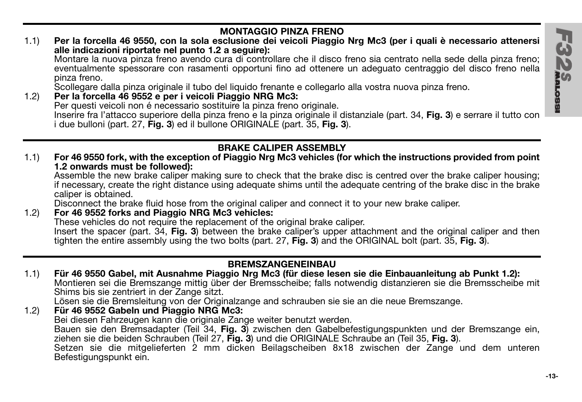

## 1.1) **Per la forcella 46 9550, con la sola esclusione dei veicoli Piaggio Nrg Mc3 (per i quali è necessario attenersi alle indicazioni riportate nel punto 1.2 a seguire):**

Montare la nuova pinza freno avendo cura di controllare che il disco freno sia centrato nella sede della pinza freno; eventualmente spessorare con rasamenti opportuni fino ad ottenere un adeguato centraggio del disco freno nella pinza freno.

Scollegare dalla pinza originale il tubo del liquido frenante e collegarlo alla vostra nuova pinza freno.

1.2) **Per la forcella 46 9552 e per i veicoli Piaggio NRG Mc3:** Per questi veicoli non é necessario sostituire la pinza freno originale. Inserire fra l'attacco superiore della pinza freno e la pinza originale il distanziale (part. 34, **Fig. 3**) e serrare il tutto con i due bulloni (part. 27, **Fig. 3**) ed il bullone ORIGINALE (part. 35, **Fig. 3**).

# **BRAKE CALIPER ASSEMBLY**

1.1) **For 46 9550 fork, with the exception of Piaggio Nrg Mc3 vehicles (for which the instructions provided from point 1.2 onwards must be followed):**

Assemble the new brake caliper making sure to check that the brake disc is centred over the brake caliper housing; if necessary, create the right distance using adequate shims until the adequate centring of the brake disc in the brake caliper is obtained.

Disconnect the brake fluid hose from the original caliper and connect it to your new brake caliper.

### 1.2) **For 46 9552 forks and Piaggio NRG Mc3 vehicles:** These vehicles do not require the replacement of the original brake caliper. Insert the spacer (part. 34, **Fig. 3**) between the brake caliper's upper attachment and the original caliper and then tighten the entire assembly using the two bolts (part. 27, **Fig. 3**) and the ORIGINAL bolt (part. 35, **Fig. 3**).

## **BREMSZANGENEINBAU**

1.1) **Für 46 9550 Gabel, mit Ausnahme Piaggio Nrg Mc3 (für diese lesen sie die Einbauanleitung ab Punkt 1.2):** Montieren sei die Bremszange mittig über der Bremsscheibe; falls notwendig distanzieren sie die Bremsscheibe mit Shims bis sie zentriert in der Zange sitzt.

Lösen sie die Bremsleitung von der Originalzange and schrauben sie sie an die neue Bremszange.

## 1.2) **Für 46 9552 Gabeln und Piaggio NRG Mc3:**

Bei diesen Fahrzeugen kann die originale Zange weiter benutzt werden.

Bauen sie den Bremsadapter (Teil 34, **Fig. 3**) zwischen den Gabelbefestigungspunkten und der Bremszange ein, ziehen sie die beiden Schrauben (Teil 27, **Fig. 3**) und die ORIGINALE Schraube an (Teil 35, **Fig. 3**).

Setzen sie die mitgelieferten 2 mm dicken Beilagscheiben 8x18 zwischen der Zange und dem unteren Befestigungspunkt ein.

ビクブ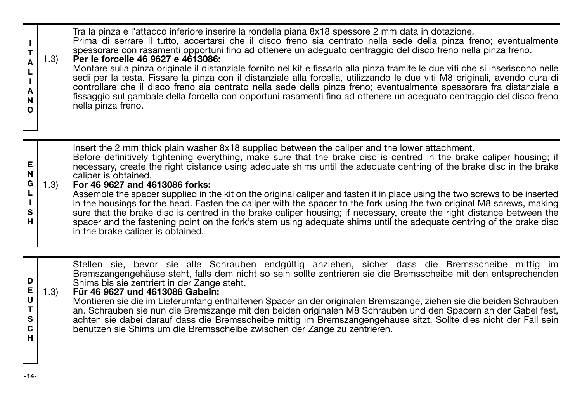| А<br>А<br>N<br>O      | 1.3) | Tra la pinza e l'attacco inferiore inserire la rondella piana 8x18 spessore 2 mm data in dotazione.<br>Prima di serrare il tutto, accertarsi che il disco freno sia centrato nella sede della pinza freno; eventualmente<br>spessorare con rasamenti opportuni fino ad ottenere un adequato centraggio del disco freno nella pinza freno.<br>Per le forcelle 46 9627 e 4613086:<br>Montare sulla pinza originale il distanziale fornito nel kit e fissarlo alla pinza tramite le due viti che si inseriscono nelle<br>sedi per la testa. Fissare la pinza con il distanziale alla forcella, utilizzando le due viti M8 originali, avendo cura di<br>controllare che il disco freno sia centrato nella sede della pinza freno; eventualmente spessorare fra distanziale e<br>fissaggio sul gambale della forcella con opportuni rasamenti fino ad ottenere un adequato centraggio del disco freno<br>nella pinza freno.                                |
|-----------------------|------|-------------------------------------------------------------------------------------------------------------------------------------------------------------------------------------------------------------------------------------------------------------------------------------------------------------------------------------------------------------------------------------------------------------------------------------------------------------------------------------------------------------------------------------------------------------------------------------------------------------------------------------------------------------------------------------------------------------------------------------------------------------------------------------------------------------------------------------------------------------------------------------------------------------------------------------------------------|
| Е<br>N<br>G<br>s<br>н | 1.3) | lnsert the 2 mm thick plain washer 8x18 supplied between the caliper and the lower attachment.<br>Before definitively tightening everything, make sure that the brake disc is centred in the brake caliper housing; if<br>necessary, create the right distance using adequate shims until the adequate centring of the brake disc in the brake<br>caliper is obtained.<br>For 46 9627 and 4613086 forks:<br>Assemble the spacer supplied in the kit on the original caliper and fasten it in place using the two screws to be inserted<br>in the housings for the head. Fasten the caliper with the spacer to the fork using the two original M8 screws, making<br>sure that the brake disc is centred in the brake caliper housing; if necessary, create the right distance between the<br>spacer and the fastening point on the fork's stem using adequate shims until the adequate centring of the brake disc<br>in the brake caliper is obtained. |

Stellen sie, bevor sie alle Schrauben endgültig anziehen, sicher dass die Bremsscheibe mittig im<br>Bremszangengehäuse steht, falls dem nicht so sein sollte zentrieren sie die Bremsscheibe mit den entsprechenden<br>

### **E U** 1.3) **Für 46 9627 und 4613086 Gabeln:**

Montieren sie die im Lieferumfang enthaltenen Spacer an der originalen Bremszange, ziehen sie die beiden Schrauben an. Schrauben sie nun die Bremszange mit den beiden originalen M8 Schrauben und den Spacern an der Gabel fest, achten sie dabei darauf dass die Bremsscheibe mittig im Bremszangengehäuse sitzt. Sollte dies nicht der Fall sein benutzen sie Shims um die Bremsscheibe zwischen der Zange zu zentrieren.

**D**

**T S C H**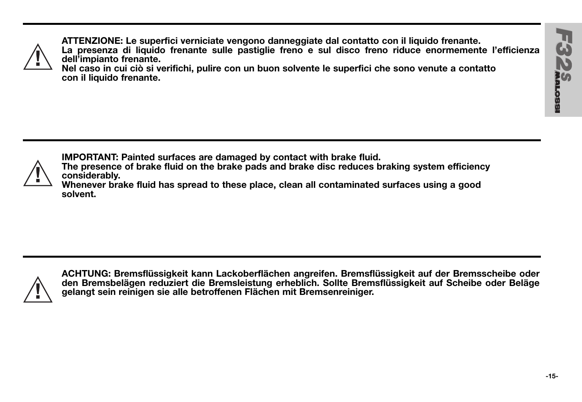

**ATTENZIONE: Le superfici verniciate vengono danneggiate dal contatto con il liquido frenante. La presenza di liquido frenante sulle pastiglie freno e sul disco freno riduce enormemente l'efficienza dell'impianto frenante.**

**Nel caso in cui ciò si verifichi, pulire con un buon solvente le superfici che sono venute a contatto con il liquido frenante.**



**IMPORTANT: Painted surfaces are damaged by contact with brake fluid.**

**The presence of brake fluid on the brake pads and brake disc reduces braking system efficiency considerably.**

**Whenever brake fluid has spread to these place, clean all contaminated surfaces using a good solvent.**



**ACHTUNG: Bremsflüssigkeit kann Lackoberflächen angreifen. Bremsflüssigkeit auf der Bremsscheibe oder den Bremsbelägen reduziert die Bremsleistung erheblich. Sollte Bremsflüssigkeit auf Scheibe oder Beläge gelangt sein reinigen sie alle betroffenen Flächen mit Bremsenreiniger.**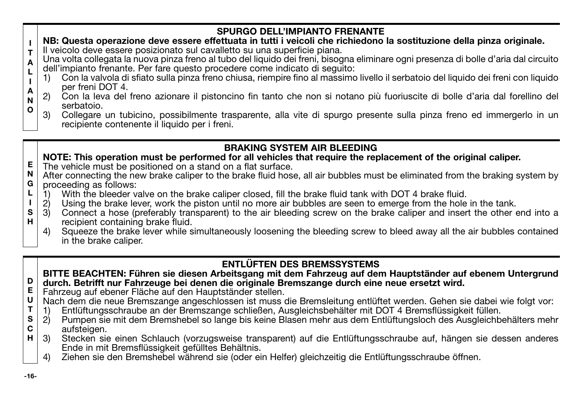### **SPURGO DELL'IMPIANTO FRENANTE NB: Questa operazione deve essere effettuata in tutti i veicoli che richiedono la sostituzione della pinza originale.**

- **I T** Il veicolo deve essere posizionato sul cavalletto su una superficie piana.
- **A L** Una volta collegata la nuova pinza freno al tubo del liquido dei freni, bisogna eliminare ogni presenza di bolle d'aria dal circuito dell'impianto frenante. Per fare questo procedere come indicato di seguito:
	- 1) Con la valvola di sfiato sulla pinza freno chiusa, riempire fino al massimo livello il serbatoio del liquido dei freni con liquido per freni DOT 4.
- **A N O** 2) Con la leva del freno azionare il pistoncino fin tanto che non si notano più fuoriuscite di bolle d'aria dal forellino del serbatoio.
	- 3) Collegare un tubicino, possibilmente trasparente, alla vite di spurgo presente sulla pinza freno ed immergerlo in un recipiente contenente il liquido per i freni.

# **BRAKING SYSTEM AIR BLEEDING**

## **NOTE: This operation must be performed for all vehicles that require the replacement of the original caliper.**

- **E** The vehicle must be positioned on a stand on a flat surface.
- **N G** After connecting the new brake caliper to the brake fluid hose, all air bubbles must be eliminated from the braking system by proceeding as follows:<br>1) With the bleeder va
- **L** 1) With the bleeder valve on the brake caliper closed, fill the brake fluid tank with DOT 4 brake fluid.<br>2) Using the brake lever, work the piston until no more air bubbles are seen to emerge from the hole
- **I** 2) Using the brake lever, work the piston until no more air bubbles are seen to emerge from the hole in the tank.
- **S H** 3) Connect a hose (preferably transparent) to the air bleeding screw on the brake caliper and insert the other end into a recipient containing brake fluid.
	- 4) Squeeze the brake lever while simultaneously loosening the bleeding screw to bleed away all the air bubbles contained in the brake caliper.

# **ENTLÜFTEN DES BREMSSYSTEMS**

### **D BITTE BEACHTEN: Führen sie diesen Arbeitsgang mit dem Fahrzeug auf dem Hauptständer auf ebenem Untergrund durch. Betrifft nur Fahrzeuge bei denen die originale Bremszange durch eine neue ersetzt wird.**

- **E** Fahrzeug auf ebener Fläche auf den Hauptständer stellen.
- **U** Nach dem die neue Bremszange angeschlossen ist muss die Bremsleitung entlüftet werden. Gehen sie dabei wie folgt vor:<br>1) Entlüftungsschraube an der Bremszange schließen. Ausgleichsbehälter mit DOT 4 Bremsflüssigkeit füllen
- **T** 1) Entlüftungsschraube an der Bremszange schließen, Ausgleichsbehälter mit DOT 4 Bremsflüssigkeit füllen.<br>2) Pumpen sie mit dem Bremshebel so lange bis keine Blasen mehr aus dem Entlüftungsloch des Ausgleichb
- **S C** 2) Pumpen sie mit dem Bremshebel so lange bis keine Blasen mehr aus dem Entlüftungsloch des Ausgleichbehälters mehr aufsteigen.
- **H** 3) Stecken sie einen Schlauch (vorzugsweise transparent) auf die Entlüftungsschraube auf, hängen sie dessen anderes Ende in mit Bremsflüssigkeit gefülltes Behältnis.
	- 4) Ziehen sie den Bremshebel während sie (oder ein Helfer) gleichzeitig die Entlüftungsschraube öffnen.

**I**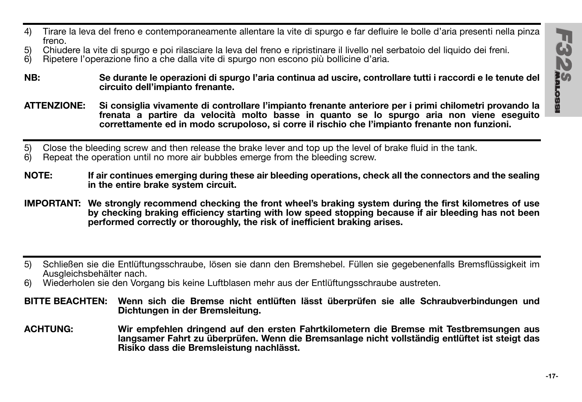- 4) Tirare la leva del freno e contemporaneamente allentare la vite di spurgo e far defluire le bolle d'aria presenti nella pinza freno.
- 5) Chiudere la vite di spurgo e poi rilasciare la leva del freno e ripristinare il livello nel serbatoio del liquido dei freni.<br>6) Binetere l'operazione fino a che dalla vite di spurgo non escono più bollicine d'aria
- 6) Ripetere l'operazione fino a che dalla vite di spurgo non escono più bollicine d'aria.
- **NB: Se durante le operazioni di spurgo l'aria continua ad uscire, controllare tutti i raccordi e le tenute del circuito dell'impianto frenante.**
- **ATTENZIONE: Si consiglia vivamente di controllare l'impianto frenante anteriore per i primi chilometri provando la frenata a partire da velocità molto basse in quanto se lo spurgo aria non viene eseguito correttamente ed in modo scrupoloso, si corre il rischio che l'impianto frenante non funzioni.**
- 5) Close the bleeding screw and then release the brake lever and top up the level of brake fluid in the tank.<br>6) Repeat the operation until no more air bubbles emerge from the bleeding screw.
- 6) Repeat the operation until no more air bubbles emerge from the bleeding screw.
- **NOTE: If air continues emerging during these air bleeding operations, check all the connectors and the sealing in the entire brake system circuit.**
- **IMPORTANT: We strongly recommend checking the front wheel's braking system during the first kilometres of use by checking braking efficiency starting with low speed stopping because if air bleeding has not been performed correctly or thoroughly, the risk of inefficient braking arises.**
- 5) Schließen sie die Entlüftungsschraube, lösen sie dann den Bremshebel. Füllen sie gegebenenfalls Bremsflüssigkeit im Ausgleichsbehälter nach.
- 6) Wiederholen sie den Vorgang bis keine Luftblasen mehr aus der Entlüftungsschraube austreten.
- **BITTE BEACHTEN: Wenn sich die Bremse nicht entlüften lässt überprüfen sie alle Schraubverbindungen und Dichtungen in der Bremsleitung.**
- **ACHTUNG: Wir empfehlen dringend auf den ersten Fahrtkilometern die Bremse mit Testbremsungen aus langsamer Fahrt zu überprüfen. Wenn die Bremsanlage nicht vollständig entlüftet ist steigt das Risiko dass die Bremsleistung nachlässt.**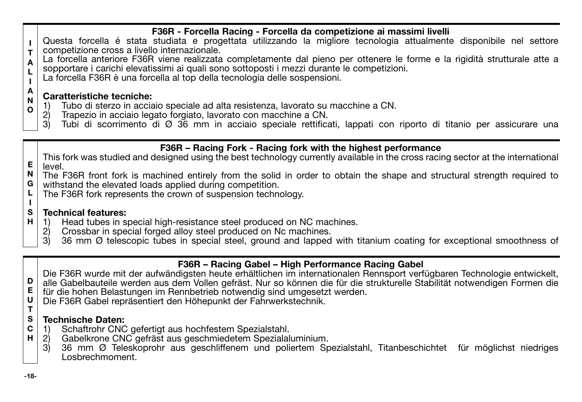# **F36R - Forcella Racing - Forcella da competizione ai massimi livelli**

- **I T** Questa forcella é stata studiata e progettata utilizzando la migliore tecnologia attualmente disponibile nel settore competizione cross a livello internazionale.
- **A L** La forcella anteriore F36R viene realizzata completamente dal pieno per ottenere le forme e la rigidità strutturale atte a sopportare i carichi elevatissimi ai quali sono sottoposti i mezzi durante le competizioni.
- **I** La forcella F36R è una forcella al top della tecnologia delle sospensioni.

### **A Caratteristiche tecniche:**

- 1) Tubo di sterzo in acciaio speciale ad alta resistenza, lavorato su macchine a CN.
- 2) Trapezio in acciaio legato forgiato, lavorato con macchine a CN.<br>3) Tubi di scorrimento di Ø 36 mm in acciaio speciale rettifica
- 3) Tubi di scorrimento di Ø 36 mm in acciaio speciale rettificati, lappati con riporto di titanio per assicurare una

# **F36R – Racing Fork - Racing fork with the highest performance**

**E** This fork was studied and designed using the best technology currently available in the cross racing sector at the international level.

- **N G** The F36R front fork is machined entirely from the solid in order to obtain the shape and structural strength required to withstand the elevated loads applied during competition.
- **L** The F36R fork represents the crown of suspension technology.

#### **S Technical features:**

- **H** 1) Head tubes in special high-resistance steel produced on NC machines.<br>2) Crossbar in special forged alloy steel produced on Nc machines.
	- 2) Crossbar in special forged alloy steel produced on Nc machines.<br>3) 36 mm  $\varnothing$  telescopic tubes in special steel, ground and lapped
	- 3) 36 mm Ø telescopic tubes in special steel, ground and lapped with titanium coating for exceptional smoothness of

# **F36R – Racing Gabel – High Performance Racing Gabel**

Die F36R wurde mit der aufwändigsten heute erhältlichen im internationalen Rennsport verfügbaren Technologie entwickelt, alle Gabelbauteile werden aus dem Vollen gefräst. Nur so können die für die strukturelle Stabilität notwendigen Formen die für die hohen Belastungen im Rennbetrieb notwendig sind umgesetzt werden.

**U T** Die F36R Gabel repräsentiert den Höhepunkt der Fahrwerkstechnik.

### **S Technische Daten:**

- **C** 1) Schaftrohr CNC gefertigt aus hochfestem Spezialstahl.<br>2) Gabelkrone CNC gefräst aus geschmiedetem Spezialal
- **H** 2) Gabelkrone CNC gefräst aus geschmiedetem Spezialaluminium.<br>3) 36 mm Ø Teleskoprohr aus geschliffenem und poliertem Sp
	- 3) 36 mm Ø Teleskoprohr aus geschliffenem und poliertem Spezialstahl, Titanbeschichtet für möglichst niedriges Losbrechmoment.

**N O**

**I**

**D E**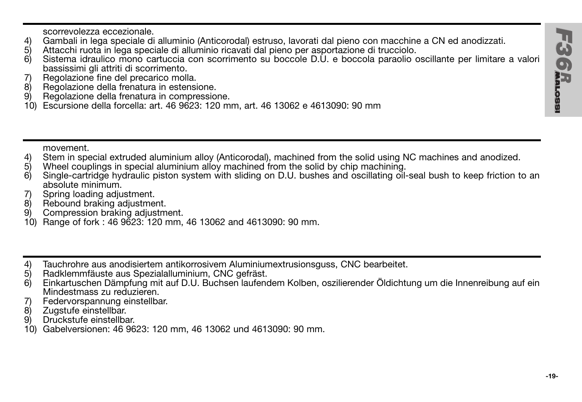scorrevolezza eccezionale.

- 4) Gambali in lega speciale di alluminio (Anticorodal) estruso, lavorati dal pieno con macchine a CN ed anodizzati.
- 5) Attacchi ruota in lega speciale di alluminio ricavati dal pieno per asportazione di trucciolo.
- 6) Sistema idraulico mono cartuccia con scorrimento su boccole D.U. e boccola paraolio oscillante per limitare a valori bassissimi gli attriti di scorrimento.
- 7) Regolazione fine del precarico molla.
- 8) Regolazione della frenatura in estensione.
- Regolazione della frenatura in compressione.
- 10) Escursione della forcella: art. 46 9623: 120 mm, art. 46 13062 e 4613090: 90 mm

movement.

- 4) Stem in special extruded aluminium alloy (Anticorodal), machined from the solid using NC machines and anodized.<br>5) Wheel couplings in special aluminium alloy machined from the solid by chip machining.
- $5)$  Wheel couplings in special aluminium alloy machined from the solid by chip machining.<br>6) Single-cartridge bydraulic piston system with sliding on D.U. bushes and oscillating oil-
- Single-cartridge hydraulic piston system with sliding on D.U. bushes and oscillating oil-seal bush to keep friction to an absolute minimum.
- 7) Spring loading adjustment.
- 8) Rebound braking adjustment.<br>9) Compression braking adjustm
- Compression braking adjustment.
- 10) Range of fork : 46 9623: 120 mm, 46 13062 and 4613090: 90 mm.
- 4) Tauchrohre aus anodisiertem antikorrosivem Aluminiumextrusionsguss, CNC bearbeitet.<br>5) Radklemmfäuste aus Spezialalluminium. CNC gefräst.
- 5) Radklemmfäuste aus Spezialalluminium, CNC gefräst.
- 6) Einkartuschen Dämpfung mit auf D.U. Buchsen laufendem Kolben, oszilierender Öldichtung um die Innenreibung auf ein Mindestmass zu reduzieren.
- 7) Federvorspannung einstellbar.<br>8) Zugstufe einstellbar.
- 8) Zugstufe einstellbar.<br>9) Druckstufe einstellba
- Druckstufe einstellbar.
- 10) Gabelversionen: 46 9623: 120 mm, 46 13062 und 4613090: 90 mm.

68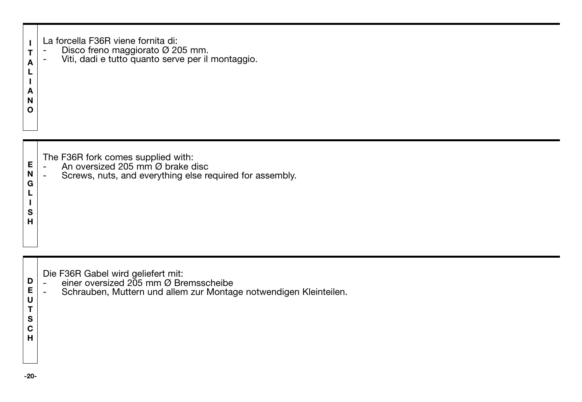| La forcella F36R viene fornita di: |  |  |
|------------------------------------|--|--|
|                                    |  |  |

- **T** -
- **A** La forcella F36R viene fornita di: Disco freno maggiorato Ø 205 mm. Viti, dadi e tutto quanto serve per il montaggio.

**L I A N O**

> **L I S H**

- **E** The F36R fork comes supplied with: - An oversized 205 mm Ø brake disc
- **N G** Screws, nuts, and everything else required for assembly.

- Die F36R Gabel wird geliefert mit: einer oversized 205 mm Ø Bremsscheibe
- -Schrauben, Muttern und allem zur Montage notwendigen Kleinteilen.

**E U T S C H**

**D**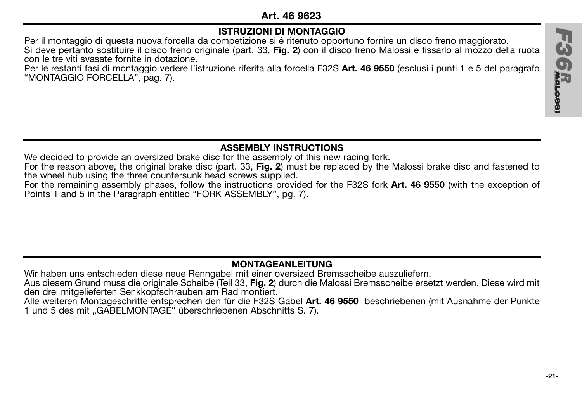# **Art. 46 9623**

# **ISTRUZIONI DI MONTAGGIO**

Per il montaggio di questa nuova forcella da competizione si é ritenuto opportuno fornire un disco freno maggiorato. Si deve pertanto sostituire il disco freno originale (part. 33, **Fig. 2**) con il disco freno Malossi e fissarlo al mozzo della ruota con le tre viti svasate fornite in dotazione.

Per le restanti fasi di montaggio vedere l'istruzione riferita alla forcella F32S **Art. 46 9550** (esclusi i punti 1 e 5 del paragrafo "MONTAGGIO FORCELLA", pag. 7).

# **ASSEMBLY INSTRUCTIONS**

We decided to provide an oversized brake disc for the assembly of this new racing fork.

For the reason above, the original brake disc (part. 33, **Fig. 2**) must be replaced by the Malossi brake disc and fastened to the wheel hub using the three countersunk head screws supplied.

For the remaining assembly phases, follow the instructions provided for the F32S fork **Art. 46 9550** (with the exception of Points 1 and 5 in the Paragraph entitled "FORK ASSEMBLY", pg. 7).

# **MONTAGEANLEITUNG**

Wir haben uns entschieden diese neue Renngabel mit einer oversized Bremsscheibe auszuliefern.

Aus diesem Grund muss die originale Scheibe (Teil 33, **Fig. 2**) durch die Malossi Bremsscheibe ersetzt werden. Diese wird mit den drei mitgelieferten Senkkopfschrauben am Rad montiert.

Alle weiteren Montageschritte entsprechen den für die F32S Gabel **Art. 46 9550** beschriebenen (mit Ausnahme der Punkte 1 und 5 des mit "GABELMONTAGE" überschriebenen Abschnitts S. 7).

**H36R**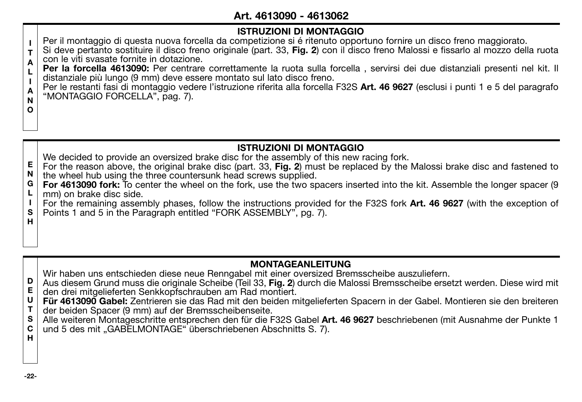# **Art. 4613090 - 4613062**

# **ISTRUZIONI DI MONTAGGIO**

Per il montaggio di questa nuova forcella da competizione si é ritenuto opportuno fornire un disco freno maggiorato.

**I T A** Si deve pertanto sostituire il disco freno originale (part. 33, **Fig. 2**) con il disco freno Malossi e fissarlo al mozzo della ruota con le viti svasate fornite in dotazione.

**L Per la forcella 4613090:** Per centrare correttamente la ruota sulla forcella , servirsi dei due distanziali presenti nel kit. Il distanziale più lungo (9 mm) deve essere montato sul lato disco freno.

**A** Per le restanti fasi di montaggio vedere l'istruzione riferita alla forcella F32S **Art. 46 9627** (esclusi i punti 1 e 5 del paragrafo "MONTAGGIO FORCELLA", pag. 7).

- **ISTRUZIONI DI MONTAGGIO** We decided to provide an oversized brake disc for the assembly of this new racing fork.
- **E N** For the reason above, the original brake disc (part. 33, **Fig. 2**) must be replaced by the Malossi brake disc and fastened to the wheel hub using the three countersunk head screws supplied.
- **G L For 4613090 fork:** To center the wheel on the fork, use the two spacers inserted into the kit. Assemble the longer spacer (9 mm) on brake disc side.
- **I S H** For the remaining assembly phases, follow the instructions provided for the F32S fork **Art. 46 9627** (with the exception of Points 1 and 5 in the Paragraph entitled "FORK ASSEMBLY", pg. 7).

# **MONTAGEANLEITUNG**

Wir haben uns entschieden diese neue Renngabel mit einer oversized Bremsscheibe auszuliefern.

- **D E** Aus diesem Grund muss die originale Scheibe (Teil 33, **Fig. 2**) durch die Malossi Bremsscheibe ersetzt werden. Diese wird mit den drei mitgelieferten Senkkopfschrauben am Rad montiert.
- **U Für 4613090 Gabel:** Zentrieren sie das Rad mit den beiden mitgelieferten Spacern in der Gabel. Montieren sie den breiteren
- **T** der beiden Spacer (9 mm) auf der Bremsscheibenseite.
- **S C H** Alle weiteren Montageschritte entsprechen den für die F32S Gabel **Art. 46 9627** beschriebenen (mit Ausnahme der Punkte 1 und 5 des mit "GABELMONTAGE" überschriebenen Abschnitts S. 7).

**I**

**N O**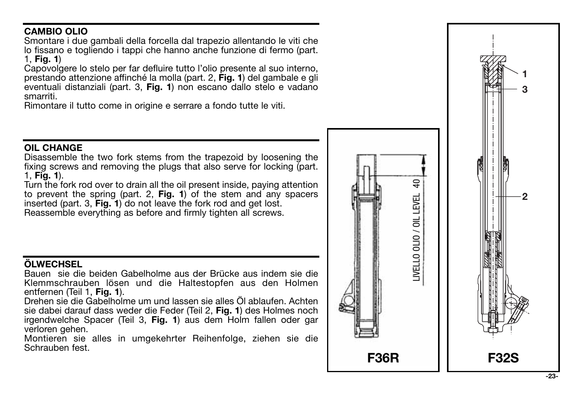# **CAMBIO OLIO**

Smontare i due gambali della forcella dal trapezio allentando le viti che lo fissano e togliendo i tappi che hanno anche funzione di fermo (part. 1, **Fig. 1**)

Capovolgere lo stelo per far defluire tutto l'olio presente al suo interno, prestando attenzione affinché la molla (part. 2, **Fig. 1**) del gambale e gli eventuali distanziali (part. 3, **Fig. 1**) non escano dallo stelo e vadano smarriti.

Rimontare il tutto come in origine e serrare a fondo tutte le viti.

# **OIL CHANGE**

Disassemble the two fork stems from the trapezoid by loosening the fixing screws and removing the plugs that also serve for locking (part. 1, **Fig. 1**).

Turn the fork rod over to drain all the oil present inside, paying attention to prevent the spring (part. 2, **Fig. 1**) of the stem and any spacers inserted (part. 3, Fig. 1) do not leave the fork rod and get lost. Reassemble everything as before and firmly tighten all screws.

# **ÖLWECHSEL**

Bauen sie die beiden Gabelholme aus der Brücke aus indem sie die Klemmschrauben lösen und die Haltestopfen aus den Holmen entfernen (Teil 1. Fig. 1).

entfernen (Teil 1, **Fig. 1**). Drehen sie die Gabelholme um und lassen sie alles Öl ablaufen. Achten sie dabei darauf dass weder die Feder (Teil 2, **Fig. 1**) des Holmes noch irgendwelche Spacer (Teil 3, **Fig. 1**) aus dem Holm fallen oder gar verloren gehen.

Montieren sie alles in umgekehrter Reihenfolge, ziehen sie die Schrauben fest.

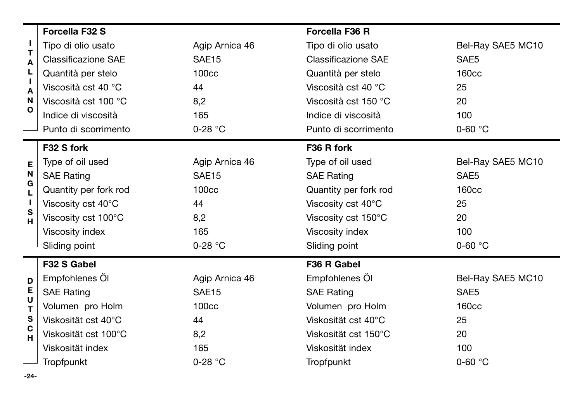|                                   | Forcella F32 S                         |                   | Forcella F36 R             |                   |  |
|-----------------------------------|----------------------------------------|-------------------|----------------------------|-------------------|--|
| J.<br>T<br>A<br>Ц<br>J.<br>A<br>Ν | Tipo di olio usato                     | Agip Arnica 46    | Tipo di olio usato         | Bel-Ray SAE5 MC10 |  |
|                                   | Classificazione SAE                    | SAE <sub>15</sub> | Classificazione SAE        | SAE5              |  |
|                                   | Quantità per stelo                     | 100cc             | Quantità per stelo         | <b>160cc</b>      |  |
|                                   | Viscosità cst 40 °C                    | 44                | Viscosità cst 40 °C        | 25                |  |
|                                   | Viscosità cst 100 °C                   | 8,2               | Viscosità cst 150 °C       | 20                |  |
| O                                 | Indice di viscosità                    | 165               | Indice di viscosità        | 100               |  |
|                                   | Punto di scorrimento                   | $0-28$ °C         | Punto di scorrimento       | $0-60$ °C         |  |
|                                   | F32 S fork                             |                   | F36 R fork                 |                   |  |
| E                                 | Type of oil used                       | Agip Arnica 46    | Type of oil used           | Bel-Ray SAE5 MC10 |  |
| N<br>G<br>L<br>л.<br>S<br>н       | <b>SAE Rating</b>                      | SAE <sub>15</sub> | <b>SAE Rating</b>          | SAE5              |  |
|                                   | Quantity per fork rod                  | 100 <sub>cc</sub> | Quantity per fork rod      | 160 <sub>cc</sub> |  |
|                                   | Viscosity cst 40°C                     | 44                | Viscosity cst 40°C         | 25                |  |
|                                   | Viscosity cst 100°C                    | 8,2               | Viscosity cst 150°C        | 20                |  |
|                                   | Viscosity index                        | 165               | Viscosity index            | 100               |  |
|                                   | Sliding point                          | $0-28$ °C         | Sliding point              | $0-60$ °C         |  |
|                                   | F32 S Gabel                            |                   | F36 R Gabel                |                   |  |
| D                                 | Empfohlenes Öl                         | Agip Arnica 46    | Empfohlenes Öl             | Bel-Ray SAE5 MC10 |  |
| Е                                 | <b>SAE Rating</b><br>SAE <sub>15</sub> |                   | <b>SAE Rating</b>          | SAE5              |  |
| U<br>T                            | Volumen pro Holm                       | 100cc             | Volumen pro Holm           | 160cc             |  |
| s                                 | Viskosität cst 40°C                    | 44                | Viskosität cst 40°C        | 25                |  |
| C<br>Ĥ                            | Viskosität cst 100°C<br>8,2            |                   | Viskosität cst 150°C<br>20 |                   |  |
|                                   | Viskosität index<br>165                |                   | Viskosität index           | 100               |  |
|                                   | Tropfpunkt                             | $0-28$ °C         | Tropfpunkt                 | $0 - 60 °C$       |  |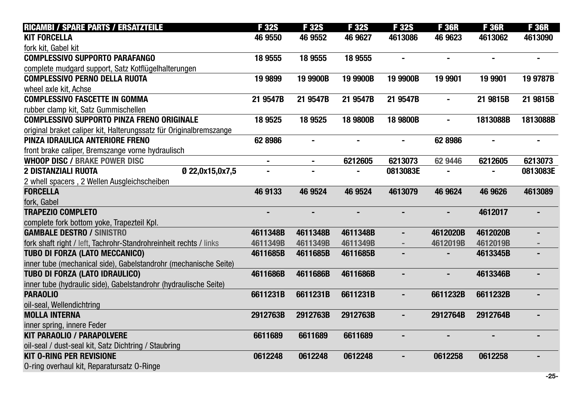| <b>RICAMBI / SPARE PARTS / ERSATZTEILE</b>                         | <b>F32S</b>              | <b>F32S</b>    | F 32S          | <b>F32S</b>    | <b>F36R</b>    | <b>F36R</b>    | <b>F36R</b>    |
|--------------------------------------------------------------------|--------------------------|----------------|----------------|----------------|----------------|----------------|----------------|
| <b>KIT FORCELLA</b>                                                | 46 9550                  | 46 9552        | 46 9627        | 4613086        | 46 9623        | 4613062        | 4613090        |
| fork kit. Gabel kit                                                |                          |                |                |                |                |                |                |
| <b>COMPLESSIVO SUPPORTO PARAFANGO</b>                              | 18 9 555                 | 18 9555        | 18 9 55 5      |                |                |                |                |
| complete mudgard support, Satz Kotflügelhalterungen                |                          |                |                |                |                |                |                |
| <b>COMPLESSIVO PERNO DELLA RUOTA</b>                               | 19 9899                  | 19 9900B       | 19 9900B       | 19 9900B       | 19 9901        | 19 9901        | 19 9787B       |
| wheel axle kit. Achse                                              |                          |                |                |                |                |                |                |
| <b>COMPLESSIVO FASCETTE IN GOMMA</b>                               | 21 9547B                 | 21 9547B       | 21 9547B       | 21 9547B       | $\blacksquare$ | 21 9815B       | 21 9815B       |
| rubber clamp kit, Satz Gummischellen                               |                          |                |                |                |                |                |                |
| <b>COMPLESSIVO SUPPORTO PINZA FRENO ORIGINALE</b>                  | 18 9525                  | 18 9 525       | 18 9800B       | 18 9800B       |                | 1813088B       | 1813088B       |
| original braket caliper kit, Halterungssatz für Originalbremszange |                          |                |                |                |                |                |                |
| PINZA IDRAULICA ANTERIORE FRENO                                    | 62 8986                  | $\blacksquare$ | $\blacksquare$ | ۰              | 62 8986        | $\blacksquare$ |                |
| front brake caliper, Bremszange vorne hydraulisch                  |                          |                |                |                |                |                |                |
| <b>WHOOP DISC / BRAKE POWER DISC</b>                               |                          | $\blacksquare$ | 6212605        | 6213073        | 62 9446        | 6212605        | 6213073        |
| <b>2 DISTANZIALI RUOTA</b>                                         | 0 22.0x15.0x7.5          |                |                | 0813083E       |                |                | 0813083E       |
| 2 whell spacers, 2 Wellen Ausgleichscheiben                        |                          |                |                |                |                |                |                |
| <b>FORCELLA</b>                                                    | 46 9133                  | 46 9524        | 46 9524        | 4613079        | 46 9624        | 46 9626        | 4613089        |
| fork. Gabel                                                        |                          |                |                |                |                |                |                |
| <b>TRAPEZIO COMPLETO</b>                                           | $\overline{\phantom{0}}$ | $\overline{a}$ |                | ÷,             | $\overline{a}$ | 4612017        |                |
| complete fork bottom yoke, Trapezteil Kpl.                         |                          |                |                |                |                |                |                |
| <b>GAMBALE DESTRO / SINISTRO</b>                                   | 4611348B                 | 4611348B       | 4611348B       |                | 4612020B       | 4612020B       |                |
| fork shaft right / left, Tachrohr-Standrohreinheit rechts / links  | 4611349B                 | 4611349B       | 4611349B       |                | 4612019B       | 4612019B       |                |
| TUBO DI FORZA (LATO MECCANICO)                                     | 4611685B                 | 4611685B       | 4611685B       | $\blacksquare$ |                | 4613345B       | $\blacksquare$ |
| inner tube (mechanical side), Gabelstandrohr (mechanische Seite)   |                          |                |                |                |                |                |                |
| TUBO DI FORZA (LATO IDRAULICO)                                     | 4611686B                 | 4611686B       | 4611686B       |                |                | 4613346B       |                |
| inner tube (hydraulic side), Gabelstandrohr (hydraulische Seite)   |                          |                |                |                |                |                |                |
| <b>PARAOLIO</b>                                                    | 6611231B                 | 6611231B       | 6611231B       |                | 6611232B       | 6611232B       |                |
| oil-seal, Wellendichtring                                          |                          |                |                |                |                |                |                |
| <b>MOLLA INTERNA</b>                                               | 2912763B                 | 2912763B       | 2912763B       | $\blacksquare$ | 2912764B       | 2912764B       |                |
| inner spring, innere Feder                                         |                          |                |                |                |                |                |                |
| <b>KIT PARAOLIO / PARAPOLVERE</b>                                  | 6611689                  | 6611689        | 6611689        |                |                |                |                |
| oil-seal / dust-seal kit, Satz Dichtring / Staubring               |                          |                |                |                |                |                |                |
| <b>KIT O-RING PER REVISIONE</b>                                    | 0612248                  | 0612248        | 0612248        |                | 0612258        | 0612258        |                |
| 0-ring overhaul kit, Reparatursatz 0-Ringe                         |                          |                |                |                |                |                |                |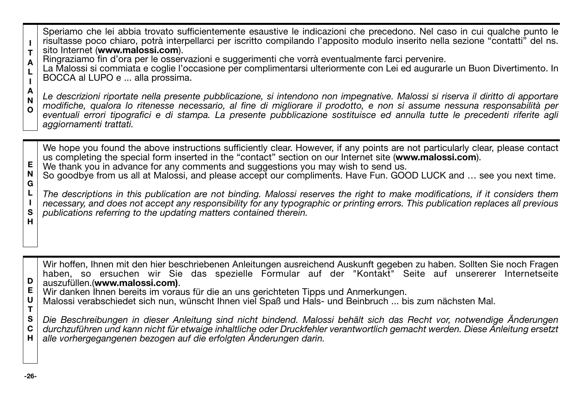Speriamo che lei abbia trovato sufficientemente esaustive le indicazioni che precedono. Nel caso in cui qualche punto le risultasse poco chiaro, potrà interpellarci per iscritto compilando l'apposito modulo inserito nella sezione "contatti" del ns.

- **I T** sito Internet (**www.malossi.com**).
- **A** Ringraziamo fin d'ora per le osservazioni e suggerimenti che vorrà eventualmente farci pervenire.

**L I** La Malossi si commiata e coglie l'occasione per complimentarsi ulteriormente con Lei ed augurarle un Buon Divertimento. In BOCCA al LUPO e ... alla prossima.

**A N O** *Le descrizioni riportate nella presente pubblicazione, si intendono non impegnative. Malossi si riserva il diritto di apportare modifiche, qualora lo ritenesse necessario, al fine di migliorare il prodotto, e non si assume nessuna responsabilità per eventuali errori tipografici e di stampa. La presente pubblicazione sostituisce ed annulla tutte le precedenti riferite agli aggiornamenti trattati.*

We hope you found the above instructions sufficiently clear. However, if any points are not particularly clear, please contact us completing the special form inserted in the "contact" section on our Internet site (**www.malossi.com**).

- **E** We thank you in advance for any comments and suggestions you may wish to send us.
- **N G** So goodbye from us all at Malossi, and please accept our compliments. Have Fun. GOOD LUCK and … see you next time.

**L I S H** *The descriptions in this publication are not binding. Malossi reserves the right to make modifications, if it considers them necessary, and does not accept any responsibility for any typographic or printing errors. This publication replaces all previous publications referring to the updating matters contained therein.*

Wir hoffen, Ihnen mit den hier beschriebenen Anleitungen ausreichend Auskunft gegeben zu haben. Sollten Sie noch Fragen haben, so ersuchen wir Sie das spezielle Formular auf der "Kontakt" Seite auf unsererer Internetseite auszufüllen.(**www.malossi.com)**.

- **E** Wir danken Ihnen bereits im voraus für die an uns gerichteten Tipps und Anmerkungen.
- **U T** Malossi verabschiedet sich nun, wünscht Ihnen viel Spaß und Hals- und Beinbruch ... bis zum nächsten Mal.

**S C H** *Die Beschreibungen in dieser Anleitung sind nicht bindend. Malossi behält sich das Recht vor, notwendige Änderungen durchzuführen und kann nicht für etwaige inhaltliche oder Druckfehler verantwortlich gemacht werden. Diese Anleitung ersetzt alle vorhergegangenen bezogen auf die erfolgten Änderungen darin.*

**D**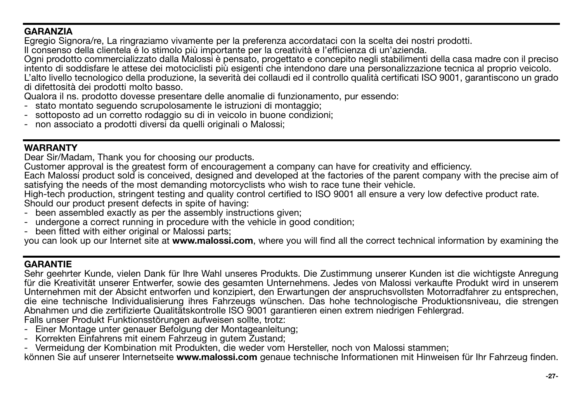# **GARANZIA**

Egregio Signora/re, La ringraziamo vivamente per la preferenza accordataci con la scelta dei nostri prodotti.

Il consenso della clientela é lo stimolo più importante per la creatività e l'efficienza di un'azienda.

Ogni prodotto commercializzato dalla Malossi è pensato, progettato e concepito negli stabilimenti della casa madre con il preciso intento di soddisfare le attese dei motociclisti più esigenti che intendono dare una personalizzazione tecnica al proprio veicolo. L'alto livello tecnologico della produzione, la severità dei collaudi ed il controllo qualità certificati ISO 9001, garantiscono un grado di difettosità dei prodotti molto basso.

Qualora il ns. prodotto dovesse presentare delle anomalie di funzionamento, pur essendo:

- stato montato seguendo scrupolosamente le istruzioni di montaggio;
- sottoposto ad un corretto rodaggio su di in veicolo in buone condizioni;
- non associato a prodotti diversi da quelli originali o Malossi;

# **WARRANTY**

Dear Sir/Madam, Thank you for choosing our products.

Customer approval is the greatest form of encouragement a company can have for creativity and efficiency.

Each Malossi product sold is conceived, designed and developed at the factories of the parent company with the precise aim of satisfying the needs of the most demanding motorcyclists who wish to race tune their vehicle.

High-tech production, stringent testing and quality control certified to ISO 9001 all ensure a very low defective product rate. Should our product present defects in spite of having:

- been assembled exactly as per the assembly instructions given;
- undergone a correct running in procedure with the vehicle in good condition;
- been fitted with either original or Malossi parts;

you can look up our Internet site at **www.malossi.com**, where you will find all the correct technical information by examining the

# **GARANTIE**

Sehr geehrter Kunde, vielen Dank für Ihre Wahl unseres Produkts. Die Zustimmung unserer Kunden ist die wichtigste Anregung für die Kreativität unserer Entwerfer, sowie des gesamten Unternehmens. Jedes von Malossi verkaufte Produkt wird in unserem Unternehmen mit der Absicht entworfen und konzipiert, den Erwartungen der anspruchsvollsten Motorradfahrer zu entsprechen, die eine technische Individualisierung ihres Fahrzeugs wünschen. Das hohe technologische Produktionsniveau, die strengen Abnahmen und die zertifizierte Qualitätskontrolle ISO 9001 garantieren einen extrem niedrigen Fehlergrad.

Falls unser Produkt Funktionsstörungen aufweisen sollte, trotz:

- Einer Montage unter genauer Befolgung der Montageanleitung;
- Korrekten Einfahrens mit einem Fahrzeug in gutem Zustand;
- Vermeidung der Kombination mit Produkten, die weder vom Hersteller, noch von Malossi stammen;

können Sie auf unserer Internetseite **www.malossi.com** genaue technische Informationen mit Hinweisen für Ihr Fahrzeug finden.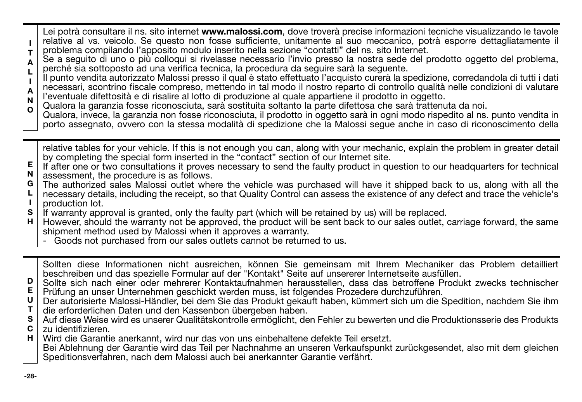**I T** Lei potrà consultare il ns. sito internet **www.malossi.com**, dove troverà precise informazioni tecniche visualizzando le tavole relative al vs. veicolo. Se questo non fosse sufficiente, unitamente al suo meccanico, potrà esporre dettagliatamente il problema compilando l'apposito modulo inserito nella sezione "contatti" del ns. sito Internet.

**A L** Se a seguito di uno o più colloqui si rivelasse necessario l'invio presso la nostra sede del prodotto oggetto del problema, perché sia sottoposto ad una verifica tecnica, la procedura da seguire sarà la seguente.

**I A N** Il punto vendita autorizzato Malossi presso il qual è stato effettuato l'acquisto curerà la spedizione, corredandola di tutti i dati necessari, scontrino fiscale compreso, mettendo in tal modo il nostro reparto di controllo qualità nelle condizioni di valutare l'eventuale difettosità e di risalire al lotto di produzione al quale appartiene il prodotto in oggetto.

- Qualora la garanzia fosse riconosciuta, sarà sostituita soltanto la parte difettosa che sarà trattenuta da noi.
- **O** Qualora, invece, la garanzia non fosse riconosciuta, il prodotto in oggetto sarà in ogni modo rispedito al ns. punto vendita in porto assegnato, ovvero con la stessa modalità di spedizione che la Malossi segue anche in caso di riconoscimento della

relative tables for your vehicle. If this is not enough you can, along with your mechanic, explain the problem in greater detail by completing the special form inserted in the "contact" section of our Internet site.

- **E N** If after one or two consultations it proves necessary to send the faulty product in question to our headquarters for technical assessment, the procedure is as follows.
- **G** The authorized sales Malossi outlet where the vehicle was purchased will have it shipped back to us, along with all the
- **L I** necessary details, including the receipt, so that Quality Control can assess the existence of any defect and trace the vehicle's production lot.
- **S** If warranty approval is granted, only the faulty part (which will be retained by us) will be replaced.
- **H** However, should the warranty not be approved, the product will be sent back to our sales outlet, carriage forward, the same shipment method used by Malossi when it approves a warranty.
	- Goods not purchased from our sales outlets cannot be returned to us.

| Sollten diese Informationen nicht ausreichen, können Sie gemeinsam mit Ihrem Mechaniker das Problem detailliert<br>beschreiben und das spezielle Formular auf der "Kontakt" Seite auf unsererer Internetseite ausfüllen.<br>D   Sollte sich nach einer oder mehrerer Kontaktaufnahmen herausstellen, dass das betroffene Produkt zwecks technischer<br>E   Prüfung an unser Unternehmen geschickt werden muss, ist folgendes Prozedere durchzuführen.<br>U   Der autorisierte Malossi-Händler, bei dem Sie das Produkt gekauft haben, kümmert sich um die Spedition, nachdem Sie ihm<br>T   die erforderlichen Daten und den Kassenbon übergeben haben.<br>S   Auf diese Weise wird es unserer Qualitätskontrolle ermöglicht, den Fehler zu bewerten und die Produktionsserie des Produkts<br>$C \mid z$ u identifizieren. |
|----------------------------------------------------------------------------------------------------------------------------------------------------------------------------------------------------------------------------------------------------------------------------------------------------------------------------------------------------------------------------------------------------------------------------------------------------------------------------------------------------------------------------------------------------------------------------------------------------------------------------------------------------------------------------------------------------------------------------------------------------------------------------------------------------------------------------|
| H   Wird die Garantie anerkannt, wird nur das von uns einbehaltene defekte Teil ersetzt.<br>Bei Ablehnung der Garantie wird das Teil per Nachnahme an unseren Verkaufspunkt zurückgesendet, also mit dem gleichen<br>Speditionsverfahren, nach dem Malossi auch bei anerkannter Garantie verfährt.                                                                                                                                                                                                                                                                                                                                                                                                                                                                                                                         |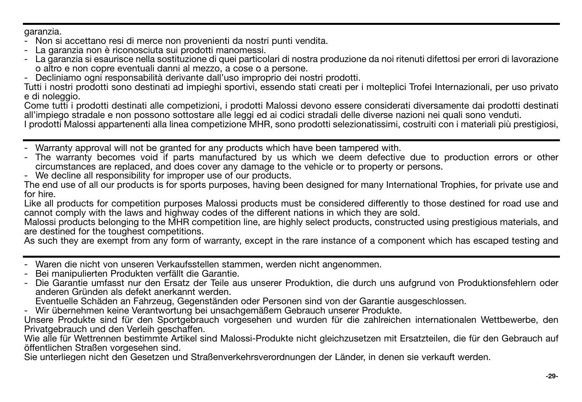garanzia.

- Non si accettano resi di merce non provenienti da nostri punti vendita.
- La garanzia non è riconosciuta sui prodotti manomessi.
- La garanzia si esaurisce nella sostituzione di quei particolari di nostra produzione da noi ritenuti difettosi per errori di lavorazione o altro e non copre eventuali danni al mezzo, a cose o a persone.
- Decliniamo ogni responsabilità derivante dall'uso improprio dei nostri prodotti.

Tutti i nostri prodotti sono destinati ad impieghi sportivi, essendo stati creati per i molteplici Trofei Internazionali, per uso privato e di noleggio.

Come tutti i prodotti destinati alle competizioni, i prodotti Malossi devono essere considerati diversamente dai prodotti destinati all'impiego stradale e non possono sottostare alle leggi ed ai codici stradali delle diverse nazioni nei quali sono venduti.

I prodotti Malossi appartenenti alla linea competizione MHR, sono prodotti selezionatissimi, costruiti con i materiali più prestigiosi,

- Warranty approval will not be granted for any products which have been tampered with.
- The warranty becomes void if parts manufactured by us which we deem defective due to production errors or other circumstances are replaced, and does cover any damage to the vehicle or to property or persons.
- We decline all responsibility for improper use of our products.

The end use of all our products is for sports purposes, having been designed for many International Trophies, for private use and for hire.

Like all products for competition purposes Malossi products must be considered differently to those destined for road use and cannot comply with the laws and highway codes of the different nations in which they are sold.

Malossi products belonging to the MHR competition line, are highly select products, constructed using prestigious materials, and are destined for the toughest competitions.

As such they are exempt from any form of warranty, except in the rare instance of a component which has escaped testing and

- Waren die nicht von unseren Verkaufsstellen stammen, werden nicht angenommen.
- Bei manipulierten Produkten verfällt die Garantie.
- Die Garantie umfasst nur den Ersatz der Teile aus unserer Produktion, die durch uns aufgrund von Produktionsfehlern oder anderen Gründen als defekt anerkannt werden.

Eventuelle Schäden an Fahrzeug, Gegenständen oder Personen sind von der Garantie ausgeschlossen.

- Wir übernehmen keine Verantwortung bei unsachgemäßem Gebrauch unserer Produkte.

Unsere Produkte sind für den Sportgebrauch vorgesehen und wurden für die zahlreichen internationalen Wettbewerbe, den Privatgebrauch und den Verleih geschaffen.

Wie alle für Wettrennen bestimmte Artikel sind Malossi-Produkte nicht gleichzusetzen mit Ersatzteilen, die für den Gebrauch auf öffentlichen Straßen vorgesehen sind.

Sie unterliegen nicht den Gesetzen und Straßenverkehrsverordnungen der Länder, in denen sie verkauft werden.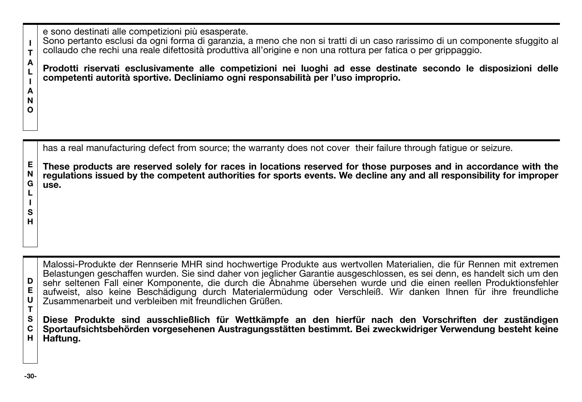e sono destinati alle competizioni più esasperate.

**I T** Sono pertanto esclusi da ogni forma di garanzia, a meno che non si tratti di un caso rarissimo di un componente sfuggito al collaudo che rechi una reale difettosità produttiva all'origine e non una rottura per fatica o per grippaggio.

**Prodotti riservati esclusivamente alle competizioni nei luoghi ad esse destinate secondo le disposizioni delle competenti autorità sportive. Decliniamo ogni responsabilità per l'uso improprio.**

has a real manufacturing defect from source; the warranty does not cover their failure through fatigue or seizure.

**E N G L These products are reserved solely for races in locations reserved for those purposes and in accordance with the regulations issued by the competent authorities for sports events. We decline any and all responsibility for improper use.**

**D E U T** Malossi-Produkte der Rennserie MHR sind hochwertige Produkte aus wertvollen Materialien, die für Rennen mit extremen Belastungen geschaffen wurden. Sie sind daher von jeglicher Garantie ausgeschlossen, es sei denn, es handelt sich um den sehr seltenen Fall einer Komponente, die durch die Abnahme übersehen wurde und die einen reellen Produktionsfehler aufweist, also keine Beschädigung durch Materialermüdung oder Verschleiß. Wir danken Ihnen für ihre freundliche Zusammenarbeit und verbleiben mit freundlichen Grüßen.

**S C H Diese Produkte sind ausschließlich für Wettkämpfe an den hierfür nach den Vorschriften der zuständigen Sportaufsichtsbehörden vorgesehenen Austragungsstätten bestimmt. Bei zweckwidriger Verwendung besteht keine Haftung.**

**A L I A N O**

**I S H**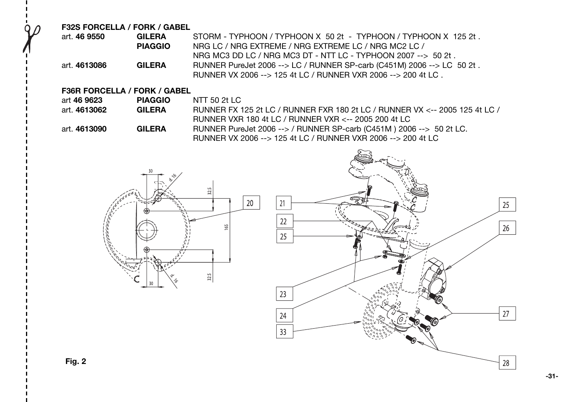**F32S FORCELLA / FORK / GABEL**

| art. 46 9550 | <b>GILFRA</b>  | STORM - TYPHOON / TYPHOON X 50 2t - TYPHOON / TYPHOON X 125 2t.         |
|--------------|----------------|-------------------------------------------------------------------------|
|              | <b>PIAGGIO</b> | NRG LC / NRG EXTREME / NRG EXTREME LC / NRG MC2 LC /                    |
|              |                | NRG MC3 DD LC / NRG MC3 DT - NTT LC - TYPHOON 2007 $\rightarrow$ 50 2t. |
| art. 4613086 | <b>GILERA</b>  | RUNNER PureJet 2006 --> LC / RUNNER SP-carb (C451M) 2006 --> LC 50 2t.  |
|              |                | RUNNER VX 2006 --> 125 4t LC / RUNNER VXR 2006 --> 200 4t LC.           |

### **F36R FORCELLA / FORK / GABEL**

| art 46 9623  | <b>PIAGGIO</b> | NTT 50 21 LC                                                                |
|--------------|----------------|-----------------------------------------------------------------------------|
| art. 4613062 | <b>GILFRA</b>  | RUNNER FX 125 2t LC / RUNNER FXR 180 2t LC / RUNNER VX <-- 2005 125 4t LC / |
|              |                | RUNNER VXR 180 4t LC / RUNNER VXR <-- 2005 200 4t LC                        |
| art. 4613090 | <b>GILFRA</b>  | RUNNER PureJet 2006 --> / RUNNER SP-carb (C451M) 2006 --> 50 2t LC.         |
|              |                | RUNNER VX 2006 --> 125 4t LC / RUNNER VXR 2006 --> 200 4t LC                |